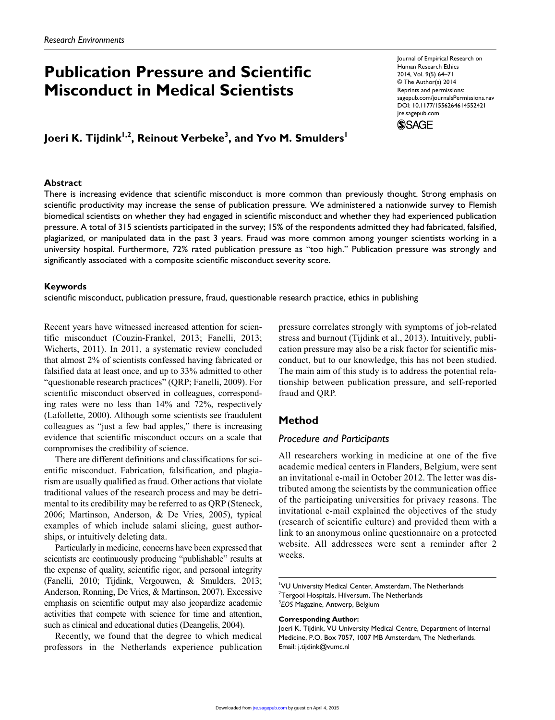# **Publication Pressure and Scientific Misconduct in Medical Scientists**

Journal of Empirical Research on Human Research Ethics 2014, Vol. 9(5) 64–71 © The Author(s) 2014 Reprints and permissions: sagepub.com/journalsPermissions.nav DOI: 10.1177/1556264614552421 jre.sagepub.com



## Joeri K. Tijdink<sup>I,2</sup>, Reinout Verbeke<sup>3</sup>, and Yvo M. Smulders<sup>I</sup>

#### **Abstract**

There is increasing evidence that scientific misconduct is more common than previously thought. Strong emphasis on scientific productivity may increase the sense of publication pressure. We administered a nationwide survey to Flemish biomedical scientists on whether they had engaged in scientific misconduct and whether they had experienced publication pressure. A total of 315 scientists participated in the survey; 15% of the respondents admitted they had fabricated, falsified, plagiarized, or manipulated data in the past 3 years. Fraud was more common among younger scientists working in a university hospital. Furthermore, 72% rated publication pressure as "too high." Publication pressure was strongly and significantly associated with a composite scientific misconduct severity score.

## **Keywords**

scientific misconduct, publication pressure, fraud, questionable research practice, ethics in publishing

Recent years have witnessed increased attention for scientific misconduct (Couzin-Frankel, 2013; Fanelli, 2013; Wicherts, 2011). In 2011, a systematic review concluded that almost 2% of scientists confessed having fabricated or falsified data at least once, and up to 33% admitted to other "questionable research practices" (QRP; Fanelli, 2009). For scientific misconduct observed in colleagues, corresponding rates were no less than 14% and 72%, respectively (Lafollette, 2000). Although some scientists see fraudulent colleagues as "just a few bad apples," there is increasing evidence that scientific misconduct occurs on a scale that compromises the credibility of science.

There are different definitions and classifications for scientific misconduct. Fabrication, falsification, and plagiarism are usually qualified as fraud. Other actions that violate traditional values of the research process and may be detrimental to its credibility may be referred to as QRP (Steneck, 2006; Martinson, Anderson, & De Vries, 2005), typical examples of which include salami slicing, guest authorships, or intuitively deleting data.

Particularly in medicine, concerns have been expressed that scientists are continuously producing "publishable" results at the expense of quality, scientific rigor, and personal integrity (Fanelli, 2010; Tijdink, Vergouwen, & Smulders, 2013; Anderson, Ronning, De Vries, & Martinson, 2007). Excessive emphasis on scientific output may also jeopardize academic activities that compete with science for time and attention, such as clinical and educational duties (Deangelis, 2004).

Recently, we found that the degree to which medical professors in the Netherlands experience publication pressure correlates strongly with symptoms of job-related stress and burnout (Tijdink et al., 2013). Intuitively, publication pressure may also be a risk factor for scientific misconduct, but to our knowledge, this has not been studied. The main aim of this study is to address the potential relationship between publication pressure, and self-reported fraud and QRP.

## **Method**

## *Procedure and Participants*

All researchers working in medicine at one of the five academic medical centers in Flanders, Belgium, were sent an invitational e-mail in October 2012. The letter was distributed among the scientists by the communication office of the participating universities for privacy reasons. The invitational e-mail explained the objectives of the study (research of scientific culture) and provided them with a link to an anonymous online questionnaire on a protected website. All addressees were sent a reminder after 2 weeks.

#### **Corresponding Author:**

<sup>&</sup>lt;sup>1</sup>VU University Medical Center, Amsterdam, The Netherlands  $^{2}$ Tergooi Hospitals, Hilversum, The Netherlands 3 *EOS* Magazine, Antwerp, Belgium

Joeri K. Tijdink, VU University Medical Centre, Department of Internal Medicine, P.O. Box 7057, 1007 MB Amsterdam, The Netherlands. Email: [j.tijdink@vumc.nl](mailto:j.tijdink@vumc.nl)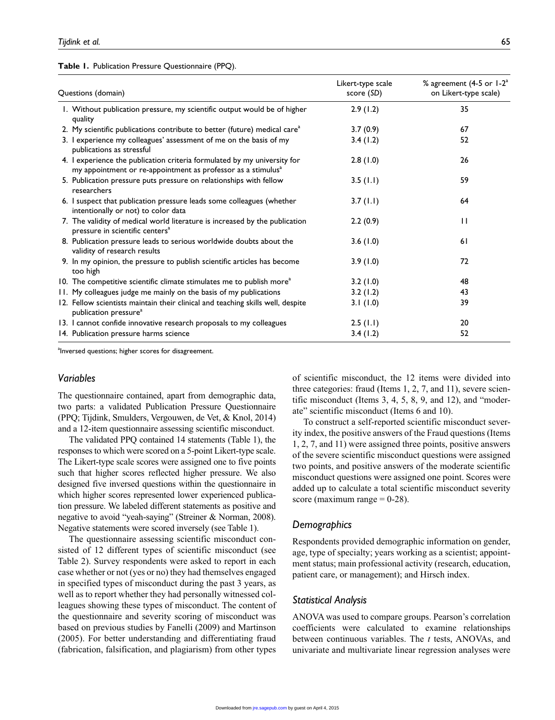**Table 1.** Publication Pressure Questionnaire (PPQ).

| Questions (domain)                                                                                                                                   | Likert-type scale<br>score (SD) | % agreement (4-5 or 1-2 <sup>a</sup><br>on Likert-type scale) |
|------------------------------------------------------------------------------------------------------------------------------------------------------|---------------------------------|---------------------------------------------------------------|
| 1. Without publication pressure, my scientific output would be of higher<br>quality                                                                  | 2.9(1.2)                        | 35                                                            |
| 2. My scientific publications contribute to better (future) medical care <sup>a</sup>                                                                | 3.7(0.9)                        | 67                                                            |
| 3. I experience my colleagues' assessment of me on the basis of my<br>publications as stressful                                                      | 3.4(1.2)                        | 52                                                            |
| 4. I experience the publication criteria formulated by my university for<br>my appointment or re-appointment as professor as a stimulus <sup>a</sup> | 2.8(1.0)                        | 26                                                            |
| 5. Publication pressure puts pressure on relationships with fellow<br>researchers                                                                    | 3.5(1.1)                        | 59                                                            |
| 6. I suspect that publication pressure leads some colleagues (whether<br>intentionally or not) to color data                                         | 3.7(1.1)                        | 64                                                            |
| 7. The validity of medical world literature is increased by the publication<br>pressure in scientific centers <sup>a</sup>                           | 2.2(0.9)                        | $\mathbf{H}$                                                  |
| 8. Publication pressure leads to serious worldwide doubts about the<br>validity of research results                                                  | 3.6(1.0)                        | 61                                                            |
| 9. In my opinion, the pressure to publish scientific articles has become<br>too high                                                                 | 3.9(1.0)                        | 72                                                            |
| 10. The competitive scientific climate stimulates me to publish more <sup>a</sup>                                                                    | 3.2(1.0)                        | 48                                                            |
| 11. My colleagues judge me mainly on the basis of my publications                                                                                    | 3.2(1.2)                        | 43                                                            |
| 12. Fellow scientists maintain their clinical and teaching skills well, despite<br>publication pressure <sup>a</sup>                                 | 3.1(1.0)                        | 39                                                            |
| 13. I cannot confide innovative research proposals to my colleagues                                                                                  | $2.5$ (1.1)                     | 20                                                            |
| 14. Publication pressure harms science                                                                                                               | 3.4(1.2)                        | 52                                                            |

<sup>a</sup>lnversed questions; higher scores for disagreement.

## *Variables*

The questionnaire contained, apart from demographic data, two parts: a validated Publication Pressure Questionnaire (PPQ; Tijdink, Smulders, Vergouwen, de Vet, & Knol, 2014) and a 12-item questionnaire assessing scientific misconduct.

The validated PPQ contained 14 statements (Table 1), the responses to which were scored on a 5-point Likert-type scale. The Likert-type scale scores were assigned one to five points such that higher scores reflected higher pressure. We also designed five inversed questions within the questionnaire in which higher scores represented lower experienced publication pressure. We labeled different statements as positive and negative to avoid "yeah-saying" (Streiner & Norman, 2008). Negative statements were scored inversely (see Table 1).

The questionnaire assessing scientific misconduct consisted of 12 different types of scientific misconduct (see Table 2). Survey respondents were asked to report in each case whether or not (yes or no) they had themselves engaged in specified types of misconduct during the past 3 years, as well as to report whether they had personally witnessed colleagues showing these types of misconduct. The content of the questionnaire and severity scoring of misconduct was based on previous studies by Fanelli (2009) and Martinson (2005). For better understanding and differentiating fraud (fabrication, falsification, and plagiarism) from other types

of scientific misconduct, the 12 items were divided into three categories: fraud (Items 1, 2, 7, and 11), severe scientific misconduct (Items 3, 4, 5, 8, 9, and 12), and "moderate" scientific misconduct (Items 6 and 10).

To construct a self-reported scientific misconduct severity index, the positive answers of the Fraud questions (Items 1, 2, 7, and 11) were assigned three points, positive answers of the severe scientific misconduct questions were assigned two points, and positive answers of the moderate scientific misconduct questions were assigned one point. Scores were added up to calculate a total scientific misconduct severity score (maximum range  $= 0-28$ ).

## *Demographics*

Respondents provided demographic information on gender, age, type of specialty; years working as a scientist; appointment status; main professional activity (research, education, patient care, or management); and Hirsch index.

#### *Statistical Analysis*

ANOVA was used to compare groups. Pearson's correlation coefficients were calculated to examine relationships between continuous variables. The *t* tests, ANOVAs, and univariate and multivariate linear regression analyses were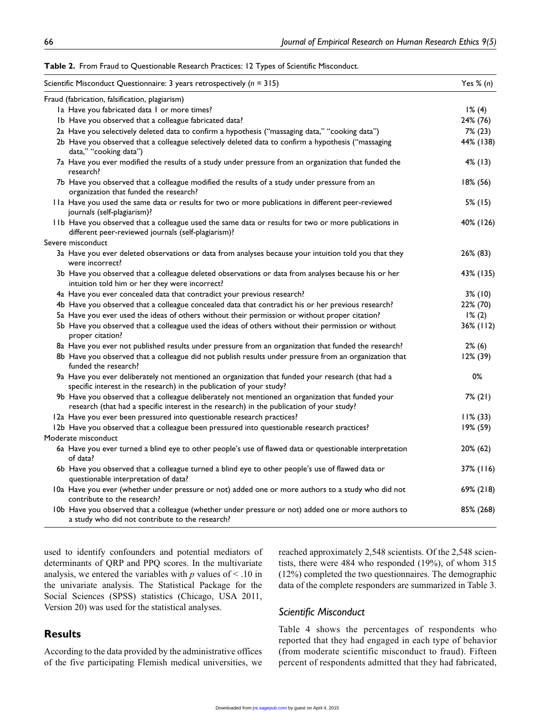|  | Table 2. From Fraud to Questionable Research Practices: 12 Types of Scientific Misconduct. |  |  |  |  |  |  |
|--|--------------------------------------------------------------------------------------------|--|--|--|--|--|--|
|--|--------------------------------------------------------------------------------------------|--|--|--|--|--|--|

| Scientific Misconduct Questionnaire: 3 years retrospectively ( $n = 315$ )                                                                                                                     | Yes $% (n)$ |
|------------------------------------------------------------------------------------------------------------------------------------------------------------------------------------------------|-------------|
| Fraud (fabrication, falsification, plagiarism)                                                                                                                                                 |             |
| la Have you fabricated data I or more times?                                                                                                                                                   | $1\%$ (4)   |
| Ib Have you observed that a colleague fabricated data?                                                                                                                                         | 24% (76)    |
| 2a Have you selectively deleted data to confirm a hypothesis ("massaging data," "cooking data")                                                                                                | $7\%$ (23)  |
| 2b Have you observed that a colleague selectively deleted data to confirm a hypothesis ("massaging<br>data," "cooking data")                                                                   | 44% (138)   |
| 7a Have you ever modified the results of a study under pressure from an organization that funded the<br>research?                                                                              | 4% (13)     |
| 7b Have you observed that a colleague modified the results of a study under pressure from an<br>organization that funded the research?                                                         | 18% (56)    |
| I la Have you used the same data or results for two or more publications in different peer-reviewed<br>journals (self-plagiarism)?                                                             | 5% (15)     |
| IIb Have you observed that a colleague used the same data or results for two or more publications in<br>different peer-reviewed journals (self-plagiarism)?                                    | 40% (126)   |
| Severe misconduct                                                                                                                                                                              |             |
| 3a Have you ever deleted observations or data from analyses because your intuition told you that they<br>were incorrect?                                                                       | 26% (83)    |
| 3b Have you observed that a colleague deleted observations or data from analyses because his or her<br>intuition told him or her they were incorrect?                                          | 43% (135)   |
| 4a Have you ever concealed data that contradict your previous research?                                                                                                                        | 3% (10)     |
| 4b Have you observed that a colleague concealed data that contradict his or her previous research?                                                                                             | 22% (70)    |
| 5a Have you ever used the ideas of others without their permission or without proper citation?                                                                                                 | $1\% (2)$   |
| 5b Have you observed that a colleague used the ideas of others without their permission or without<br>proper citation?                                                                         | 36% (112)   |
| 8a Have you ever not published results under pressure from an organization that funded the research?                                                                                           | $2\%$ (6)   |
| 8b Have you observed that a colleague did not publish results under pressure from an organization that<br>funded the research?                                                                 | 12% (39)    |
| 9a Have you ever deliberately not mentioned an organization that funded your research (that had a<br>specific interest in the research) in the publication of your study?                      | 0%          |
| 9b Have you observed that a colleague deliberately not mentioned an organization that funded your<br>research (that had a specific interest in the research) in the publication of your study? | $7\%$ (21)  |
| 12a Have you ever been pressured into questionable research practices?                                                                                                                         | 11% (33)    |
| 12b Have you observed that a colleague been pressured into questionable research practices?                                                                                                    | 19% (59)    |
| Moderate misconduct                                                                                                                                                                            |             |
| 6a Have you ever turned a blind eye to other people's use of flawed data or questionable interpretation<br>of data?                                                                            | 20% (62)    |
| 6b Have you observed that a colleague turned a blind eye to other people's use of flawed data or<br>questionable interpretation of data?                                                       | 37% (116)   |
| 10a Have you ever (whether under pressure or not) added one or more authors to a study who did not<br>contribute to the research?                                                              | 69% (218)   |
| 10b Have you observed that a colleague (whether under pressure or not) added one or more authors to<br>a study who did not contribute to the research?                                         | 85% (268)   |

used to identify confounders and potential mediators of determinants of QRP and PPQ scores. In the multivariate analysis, we entered the variables with  $p$  values of  $\leq$  .10 in the univariate analysis. The Statistical Package for the Social Sciences (SPSS) statistics (Chicago, USA 2011, Version 20) was used for the statistical analyses.

## **Results**

According to the data provided by the administrative offices of the five participating Flemish medical universities, we

reached approximately 2,548 scientists. Of the 2,548 scientists, there were 484 who responded (19%), of whom 315 (12%) completed the two questionnaires. The demographic data of the complete responders are summarized in Table 3.

## *Scientific Misconduct*

Table 4 shows the percentages of respondents who reported that they had engaged in each type of behavior (from moderate scientific misconduct to fraud). Fifteen percent of respondents admitted that they had fabricated,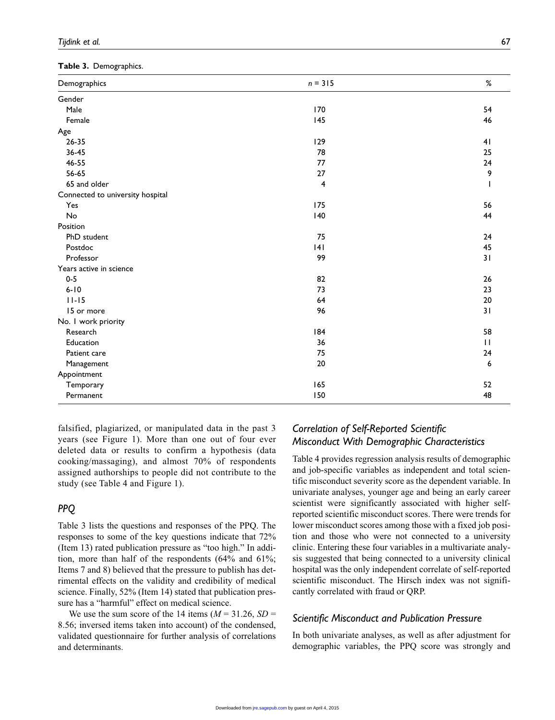**Table 3.** Demographics.

| Demographics                     | $n = 315$               | %            |
|----------------------------------|-------------------------|--------------|
| Gender                           |                         |              |
| Male                             | 170                     | 54           |
| Female                           | 145                     | 46           |
| Age                              |                         |              |
| $26 - 35$                        | 129                     | 41           |
| 36-45                            | 78                      | 25           |
| 46-55                            | 77                      | 24           |
| 56-65                            | 27                      | 9            |
| 65 and older                     | $\overline{\mathbf{4}}$ |              |
| Connected to university hospital |                         |              |
| Yes                              | 175                     | 56           |
| No                               | 140                     | 44           |
| Position                         |                         |              |
| PhD student                      | 75                      | 24           |
| Postdoc                          | 4                       | 45           |
| Professor                        | 99                      | 31           |
| Years active in science          |                         |              |
| $0 - 5$                          | 82                      | 26           |
| $6 - 10$                         | 73                      | 23           |
| $11 - 15$                        | 64                      | 20           |
| 15 or more                       | 96                      | 31           |
| No. I work priority              |                         |              |
| Research                         | 184                     | 58           |
| Education                        | 36                      | $\mathbf{H}$ |
| Patient care                     | 75                      | 24           |
| Management                       | 20                      | 6            |
| Appointment                      |                         |              |
| Temporary                        | 165                     | 52           |
| Permanent                        | 150                     | 48           |

falsified, plagiarized, or manipulated data in the past 3 years (see Figure 1). More than one out of four ever deleted data or results to confirm a hypothesis (data cooking/massaging), and almost 70% of respondents assigned authorships to people did not contribute to the study (see Table 4 and Figure 1).

## *PPQ*

Table 3 lists the questions and responses of the PPQ. The responses to some of the key questions indicate that 72% (Item 13) rated publication pressure as "too high." In addition, more than half of the respondents (64% and 61%; Items 7 and 8) believed that the pressure to publish has detrimental effects on the validity and credibility of medical science. Finally, 52% (Item 14) stated that publication pressure has a "harmful" effect on medical science.

We use the sum score of the 14 items ( $M = 31.26$ ,  $SD =$ 8.56; inversed items taken into account) of the condensed, validated questionnaire for further analysis of correlations and determinants.

## *Correlation of Self-Reported Scientific Misconduct With Demographic Characteristics*

Table 4 provides regression analysis results of demographic and job-specific variables as independent and total scientific misconduct severity score as the dependent variable. In univariate analyses, younger age and being an early career scientist were significantly associated with higher selfreported scientific misconduct scores. There were trends for lower misconduct scores among those with a fixed job position and those who were not connected to a university clinic. Entering these four variables in a multivariate analysis suggested that being connected to a university clinical hospital was the only independent correlate of self-reported scientific misconduct. The Hirsch index was not significantly correlated with fraud or QRP.

## *Scientific Misconduct and Publication Pressure*

In both univariate analyses, as well as after adjustment for demographic variables, the PPQ score was strongly and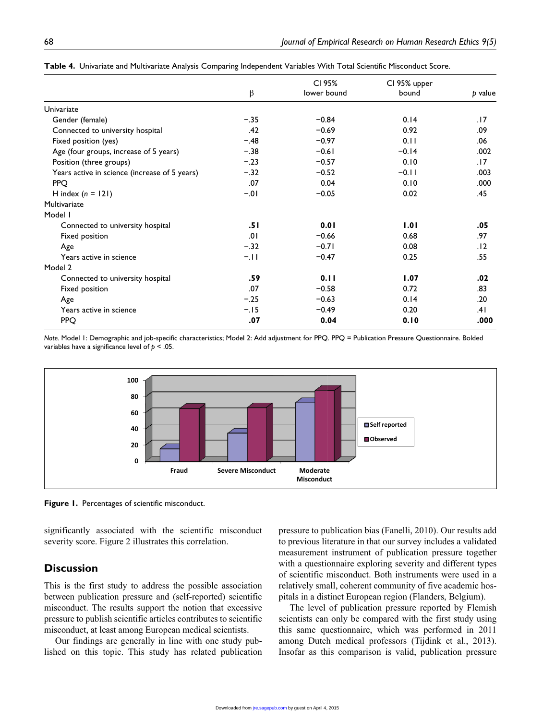|                                               | β      | CI 95%      | CI 95% upper | p value |
|-----------------------------------------------|--------|-------------|--------------|---------|
|                                               |        | lower bound | bound        |         |
| Univariate                                    |        |             |              |         |
| Gender (female)                               | $-.35$ | $-0.84$     | 0.14         | .17     |
| Connected to university hospital              | .42    | $-0.69$     | 0.92         | .09     |
| Fixed position (yes)                          | $-.48$ | $-0.97$     | 0.11         | .06     |
| Age (four groups, increase of 5 years)        | $-.38$ | $-0.61$     | $-0.14$      | .002    |
| Position (three groups)                       | $-.23$ | $-0.57$     | 0.10         | .17     |
| Years active in science (increase of 5 years) | $-.32$ | $-0.52$     | $-0.11$      | .003    |
| PPO                                           | .07    | 0.04        | 0.10         | .000    |
| H index $(n = 121)$                           | $-.01$ | $-0.05$     | 0.02         | .45     |
| Multivariate                                  |        |             |              |         |
| Model I                                       |        |             |              |         |
| Connected to university hospital              | .51    | 0.01        | 1.01         | .05     |
| Fixed position                                | .01    | $-0.66$     | 0.68         | .97     |
| Age                                           | $-.32$ | $-0.71$     | 0.08         | .12     |
| Years active in science                       | $-.11$ | $-0.47$     | 0.25         | .55     |
| Model 2                                       |        |             |              |         |
| Connected to university hospital              | .59    | 0.11        | 1.07         | .02     |
| Fixed position                                | .07    | $-0.58$     | 0.72         | .83     |
| Age                                           | $-.25$ | $-0.63$     | 0.14         | .20     |
| Years active in science                       | $-.15$ | $-0.49$     | 0.20         | .41     |
| <b>PPQ</b>                                    | .07    | 0.04        | 0.10         | .000    |

**Table 4.** Univariate and Multivariate Analysis Comparing Independent Variables With Total Scientific Misconduct Score.

*Note.* Model 1: Demographic and job-specific characteristics; Model 2: Add adjustment for PPQ. PPQ = Publication Pressure Questionnaire. Bolded variables have a significance level of *p* < .05.



**Figure 1.** Percentages of scientific misconduct.

significantly associated with the scientific misconduct severity score. Figure 2 illustrates this correlation.

## **Discussion**

This is the first study to address the possible association between publication pressure and (self-reported) scientific misconduct. The results support the notion that excessive pressure to publish scientific articles contributes to scientific misconduct, at least among European medical scientists.

Our findings are generally in line with one study published on this topic. This study has related publication

pressure to publication bias (Fanelli, 2010). Our results add to previous literature in that our survey includes a validated measurement instrument of publication pressure together with a questionnaire exploring severity and different types of scientific misconduct. Both instruments were used in a relatively small, coherent community of five academic hospitals in a distinct European region (Flanders, Belgium).

The level of publication pressure reported by Flemish scientists can only be compared with the first study using this same questionnaire, which was performed in 2011 among Dutch medical professors (Tijdink et al., 2013). Insofar as this comparison is valid, publication pressure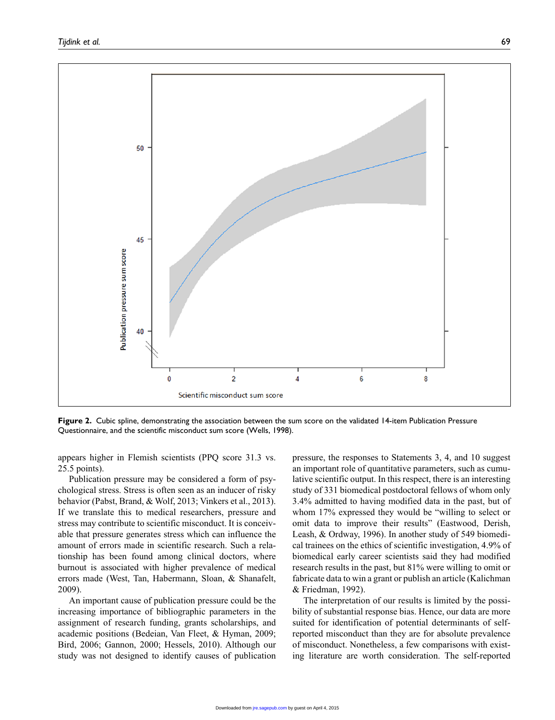

**Figure 2.** Cubic spline, demonstrating the association between the sum score on the validated 14-item Publication Pressure Questionnaire, and the scientific misconduct sum score (Wells, 1998).

appears higher in Flemish scientists (PPQ score 31.3 vs. 25.5 points).

Publication pressure may be considered a form of psychological stress. Stress is often seen as an inducer of risky behavior (Pabst, Brand, & Wolf, 2013; Vinkers et al., 2013). If we translate this to medical researchers, pressure and stress may contribute to scientific misconduct. It is conceivable that pressure generates stress which can influence the amount of errors made in scientific research. Such a relationship has been found among clinical doctors, where burnout is associated with higher prevalence of medical errors made (West, Tan, Habermann, Sloan, & Shanafelt, 2009).

An important cause of publication pressure could be the increasing importance of bibliographic parameters in the assignment of research funding, grants scholarships, and academic positions (Bedeian, Van Fleet, & Hyman, 2009; Bird, 2006; Gannon, 2000; Hessels, 2010). Although our study was not designed to identify causes of publication

pressure, the responses to Statements 3, 4, and 10 suggest an important role of quantitative parameters, such as cumulative scientific output. In this respect, there is an interesting study of 331 biomedical postdoctoral fellows of whom only 3.4% admitted to having modified data in the past, but of whom 17% expressed they would be "willing to select or omit data to improve their results" (Eastwood, Derish, Leash, & Ordway, 1996). In another study of 549 biomedical trainees on the ethics of scientific investigation, 4.9% of biomedical early career scientists said they had modified research results in the past, but 81% were willing to omit or fabricate data to win a grant or publish an article (Kalichman & Friedman, 1992).

The interpretation of our results is limited by the possibility of substantial response bias. Hence, our data are more suited for identification of potential determinants of selfreported misconduct than they are for absolute prevalence of misconduct. Nonetheless, a few comparisons with existing literature are worth consideration. The self-reported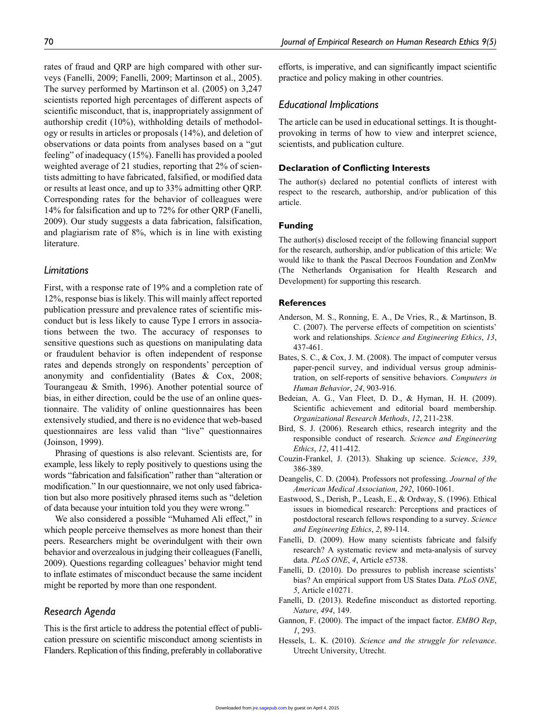rates of fraud and QRP are high compared with other surveys (Fanelli, 2009; Fanelli, 2009; Martinson et al., 2005). The survey performed by Martinson et al. (2005) on 3,247 scientists reported high percentages of different aspects of scientific misconduct, that is, inappropriately assignment of authorship credit (10%), withholding details of methodology or results in articles or proposals (14%), and deletion of observations or data points from analyses based on a "gut feeling" of inadequacy (15%). Fanelli has provided a pooled weighted average of 21 studies, reporting that 2% of scientists admitting to have fabricated, falsified, or modified data or results at least once, and up to 33% admitting other QRP. Corresponding rates for the behavior of colleagues were 14% for falsification and up to 72% for other QRP (Fanelli, 2009). Our study suggests a data fabrication, falsification, and plagiarism rate of 8%, which is in line with existing literature.

#### *Limitations*

First, with a response rate of 19% and a completion rate of 12%, response bias is likely. This will mainly affect reported publication pressure and prevalence rates of scientific misconduct but is less likely to cause Type I errors in associations between the two. The accuracy of responses to sensitive questions such as questions on manipulating data or fraudulent behavior is often independent of response rates and depends strongly on respondents' perception of anonymity and confidentiality (Bates & Cox, 2008; Tourangeau & Smith, 1996). Another potential source of bias, in either direction, could be the use of an online questionnaire. The validity of online questionnaires has been extensively studied, and there is no evidence that web-based questionnaires are less valid than "live" questionnaires (Joinson, 1999).

Phrasing of questions is also relevant. Scientists are, for example, less likely to reply positively to questions using the words "fabrication and falsification" rather than "alteration or modification." In our questionnaire, we not only used fabrication but also more positively phrased items such as "deletion of data because your intuition told you they were wrong."

We also considered a possible "Muhamed Ali effect," in which people perceive themselves as more honest than their peers. Researchers might be overindulgent with their own behavior and overzealous in judging their colleagues (Fanelli, 2009). Questions regarding colleagues' behavior might tend to inflate estimates of misconduct because the same incident might be reported by more than one respondent.

## *Research Agenda*

This is the first article to address the potential effect of publication pressure on scientific misconduct among scientists in Flanders. Replication of this finding, preferably in collaborative

efforts, is imperative, and can significantly impact scientific practice and policy making in other countries.

#### *Educational Implications*

The article can be used in educational settings. It is thoughtprovoking in terms of how to view and interpret science, scientists, and publication culture.

#### **Declaration of Conflicting Interests**

The author(s) declared no potential conflicts of interest with respect to the research, authorship, and/or publication of this article.

## **Funding**

The author(s) disclosed receipt of the following financial support for the research, authorship, and/or publication of this article: We would like to thank the Pascal Decroos Foundation and ZonMw (The Netherlands Organisation for Health Research and Development) for supporting this research.

#### **References**

- Anderson, M. S., Ronning, E. A., De Vries, R., & Martinson, B. C. (2007). The perverse effects of competition on scientists' work and relationships. *Science and Engineering Ethics*, *13*, 437-461.
- Bates, S. C., & Cox, J. M. (2008). The impact of computer versus paper-pencil survey, and individual versus group administration, on self-reports of sensitive behaviors. *Computers in Human Behavior*, *24*, 903-916.
- Bedeian, A. G., Van Fleet, D. D., & Hyman, H. H. (2009). Scientific achievement and editorial board membership. *Organizational Research Methods*, *12*, 211-238.
- Bird, S. J. (2006). Research ethics, research integrity and the responsible conduct of research. *Science and Engineering Ethics*, *12*, 411-412.
- Couzin-Frankel, J. (2013). Shaking up science. *Science*, *339*, 386-389.
- Deangelis, C. D. (2004). Professors not professing. *Journal of the American Medical Association*, *292*, 1060-1061.
- Eastwood, S., Derish, P., Leash, E., & Ordway, S. (1996). Ethical issues in biomedical research: Perceptions and practices of postdoctoral research fellows responding to a survey. *Science and Engineering Ethics*, *2*, 89-114.
- Fanelli, D. (2009). How many scientists fabricate and falsify research? A systematic review and meta-analysis of survey data. *PLoS ONE*, *4*, Article e5738.
- Fanelli, D. (2010). Do pressures to publish increase scientists' bias? An empirical support from US States Data. *PLoS ONE*, *5*, Article e10271.
- Fanelli, D. (2013). Redefine misconduct as distorted reporting. *Nature*, *494*, 149.
- Gannon, F. (2000). The impact of the impact factor. *EMBO Rep*, *1*, 293.
- Hessels, L. K. (2010). *Science and the struggle for relevance*. Utrecht University, Utrecht.